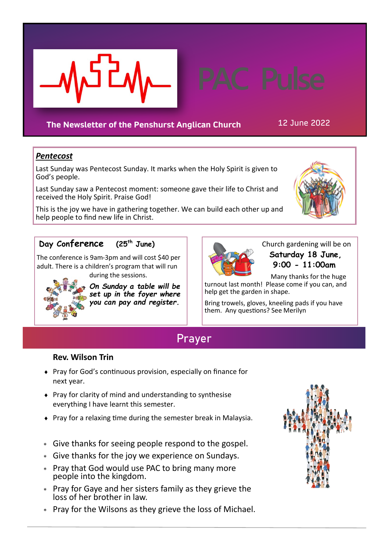

## **The Newsletter of the Penshurst Anglican Church** 12 June 2022

## *Pentecost*

Last Sunday was Pentecost Sunday. It marks when the Holy Spirit is given to God's people.

Last Sunday saw a Pentecost moment: someone gave their life to Christ and received the Holy Spirit. Praise God!

This is the joy we have in gathering together. We can build each other up and help people to find new life in Christ.



## **Day Conference (25th June)**

The conference is 9am-3pm and will cost \$40 per adult. There is a children's program that will run

during the sessions.



*On Sunday a table will be set up in the foyer where you can pay and register.*



 Church gardening will be on **Saturday 18 June, 9:00 - 11:00am**

 Many thanks for the huge turnout last month! Please come if you can, and help get the garden in shape.

Bring trowels, gloves, kneeling pads if you have them. Any questions? See Merilyn

# **Prayer**

### **Rev. Wilson Trin**

- Pray for God's continuous provision, especially on finance for next year.
- Pray for clarity of mind and understanding to synthesise everything I have learnt this semester.
- Pray for a relaxing time during the semester break in Malaysia.
- Give thanks for seeing people respond to the gospel.
- Give thanks for the joy we experience on Sundays.
- Pray that God would use PAC to bring many more people into the kingdom.
- Pray for Gaye and her sisters family as they grieve the loss of her brother in law.
- Pray for the Wilsons as they grieve the loss of Michael.